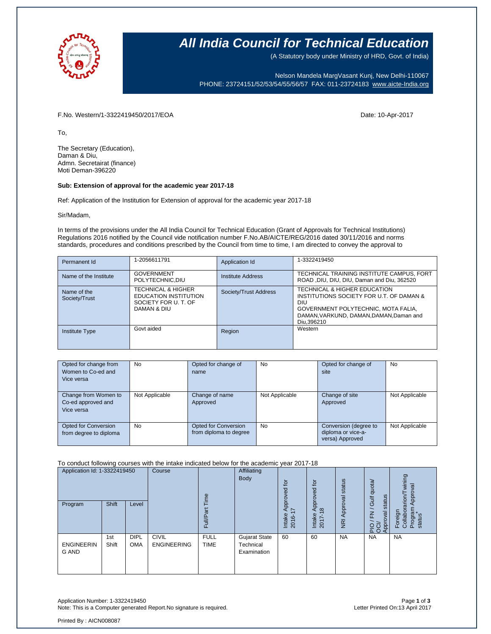

## **All India Council for Technical Education**

(A Statutory body under Ministry of HRD, Govt. of India)

Nelson Mandela MargVasant Kunj, New Delhi-110067 PHONE: 23724151/52/53/54/55/56/57 FAX: 011-23724183 [www.aicte-India.org](http://www.aicte-india.org/)

### F.No. Western/1-3322419450/2017/EOA Date: 10-Apr-2017

To,

The Secretary (Education), Daman & Diu, Admn. Secretairat (finance) Moti Deman-396220

#### **Sub: Extension of approval for the academic year 2017-18**

Ref: Application of the Institution for Extension of approval for the academic year 2017-18

Sir/Madam,

In terms of the provisions under the All India Council for Technical Education (Grant of Approvals for Technical Institutions) Regulations 2016 notified by the Council vide notification number F.No.AB/AICTE/REG/2016 dated 30/11/2016 and norms standards, procedures and conditions prescribed by the Council from time to time, I am directed to convey the approval to

| Permanent Id                 | 1-2056611791                                                                                         | Application Id        | 1-3322419450                                                                                                                                                                     |
|------------------------------|------------------------------------------------------------------------------------------------------|-----------------------|----------------------------------------------------------------------------------------------------------------------------------------------------------------------------------|
| Name of the Institute        | <b>GOVERNMENT</b><br>POLYTECHNIC.DIU                                                                 | Institute Address     | TECHNICAL TRAINING INSTITUTE CAMPUS, FORT<br>ROAD, DIU, DIU, DIU, Daman and Diu, 362520                                                                                          |
| Name of the<br>Society/Trust | <b>TECHNICAL &amp; HIGHER</b><br><b>EDUCATION INSTITUTION</b><br>SOCIETY FOR U. T. OF<br>DAMAN & DIU | Society/Trust Address | TECHNICAL & HIGHER EDUCATION<br>INSTITUTIONS SOCIETY FOR U.T. OF DAMAN &<br>DIU<br>GOVERNMENT POLYTECHNIC, MOTA FALIA,<br>DAMAN, VARKUND, DAMAN, DAMAN, Daman and<br>Diu, 396210 |
| <b>Institute Type</b>        | Govt aided                                                                                           | Region                | Western                                                                                                                                                                          |

| Opted for change from<br>Women to Co-ed and<br>Vice versa | No             | Opted for change of<br>name                           | No             | Opted for change of<br>site                                    | No             |
|-----------------------------------------------------------|----------------|-------------------------------------------------------|----------------|----------------------------------------------------------------|----------------|
| Change from Women to<br>Co-ed approved and<br>Vice versa  | Not Applicable | Change of name<br>Approved                            | Not Applicable | Change of site<br>Approved                                     | Not Applicable |
| Opted for Conversion<br>from degree to diploma            | No             | <b>Opted for Conversion</b><br>from diploma to degree | <b>No</b>      | Conversion (degree to<br>diploma or vice-a-<br>versa) Approved | Not Applicable |

To conduct following courses with the intake indicated below for the academic year 2017-18

| Application Id: 1-3322419450<br>Program | Shift        | Level                     | Course                             | $\omega$<br>Ĕ<br>ω<br>≣<br>ш | Affiliating<br>Body                       | Į<br>್ದಾ<br>2<br>jdó<br>$\overline{\phantom{0}}$<br>⋖<br>Intake<br>2016 | $\overline{10}$<br>pproved<br>$\infty$<br>∢<br>Intake<br>2017-1 | Approval status<br>$\overline{R}$ | quota/<br>status<br>Gulf<br>$\geq$<br>levo<br>PIO<br>OOP | wining<br>Approval<br>arion<br>Program<br>Foreign<br>Collabor<br>status |
|-----------------------------------------|--------------|---------------------------|------------------------------------|------------------------------|-------------------------------------------|-------------------------------------------------------------------------|-----------------------------------------------------------------|-----------------------------------|----------------------------------------------------------|-------------------------------------------------------------------------|
| <b>ENGINEERIN</b><br><b>G AND</b>       | 1st<br>Shift | <b>DIPL</b><br><b>OMA</b> | <b>CIVIL</b><br><b>ENGINEERING</b> | <b>FULL</b><br><b>TIME</b>   | Gujarat State<br>Technical<br>Examination | 60                                                                      | 60                                                              | <b>NA</b>                         | <b>NA</b>                                                | <b>NA</b>                                                               |

Application Number: 1-3322419450 Page **1** of **3** Note: This is a Computer generated Report. No signature is required.

Printed By : AICN008087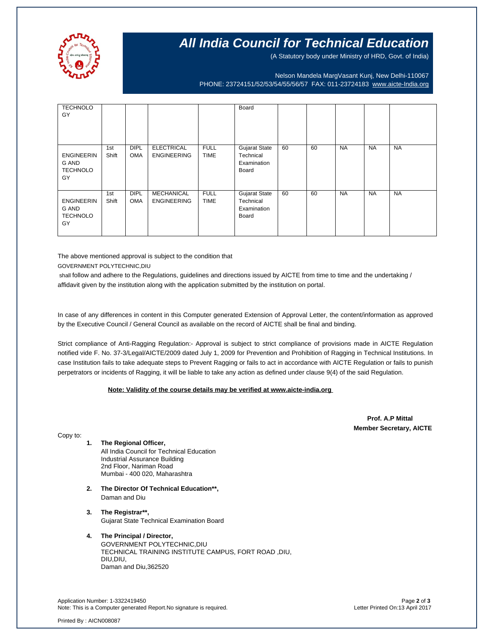

# **All India Council for Technical Education**

(A Statutory body under Ministry of HRD, Govt. of India)

Nelson Mandela MargVasant Kunj, New Delhi-110067 PHONE: 23724151/52/53/54/55/56/57 FAX: 011-23724183 [www.aicte-India.org](http://www.aicte-india.org/)

| <b>TECHNOLO</b><br>GY                               |              |                           |                                         |                            | Board                                                     |    |    |           |           |           |
|-----------------------------------------------------|--------------|---------------------------|-----------------------------------------|----------------------------|-----------------------------------------------------------|----|----|-----------|-----------|-----------|
|                                                     |              |                           |                                         |                            |                                                           |    |    |           |           |           |
| <b>ENGINEERIN</b><br>G AND<br><b>TECHNOLO</b><br>GY | 1st<br>Shift | <b>DIPL</b><br><b>OMA</b> | <b>ELECTRICAL</b><br><b>ENGINEERING</b> | <b>FULL</b><br><b>TIME</b> | <b>Gujarat State</b><br>Technical<br>Examination<br>Board | 60 | 60 | <b>NA</b> | <b>NA</b> | <b>NA</b> |
| <b>ENGINEERIN</b><br>G AND<br><b>TECHNOLO</b><br>GY | 1st<br>Shift | <b>DIPL</b><br><b>OMA</b> | <b>MECHANICAL</b><br><b>ENGINEERING</b> | <b>FULL</b><br><b>TIME</b> | <b>Gujarat State</b><br>Technical<br>Examination<br>Board | 60 | 60 | <b>NA</b> | <b>NA</b> | <b>NA</b> |

The above mentioned approval is subject to the condition that

GOVERNMENT POLYTECHNIC,DIU

shall follow and adhere to the Regulations, guidelines and directions issued by AICTE from time to time and the undertaking / affidavit given by the institution along with the application submitted by the institution on portal.

In case of any differences in content in this Computer generated Extension of Approval Letter, the content/information as approved by the Executive Council / General Council as available on the record of AICTE shall be final and binding.

Strict compliance of Anti-Ragging Regulation:- Approval is subject to strict compliance of provisions made in AICTE Regulation notified vide F. No. 37-3/Legal/AICTE/2009 dated July 1, 2009 for Prevention and Prohibition of Ragging in Technical Institutions. In case Institution fails to take adequate steps to Prevent Ragging or fails to act in accordance with AICTE Regulation or fails to punish perpetrators or incidents of Ragging, it will be liable to take any action as defined under clause 9(4) of the said Regulation.

#### **Note: Validity of the course details may be verified at www.aicte-india.org**

 **Prof. A.P Mittal Member Secretary, AICTE**

Copy to:

- **1. The Regional Officer,** All India Council for Technical Education Industrial Assurance Building 2nd Floor, Nariman Road Mumbai - 400 020, Maharashtra
- **2. The Director Of Technical Education\*\*,** Daman and Diu
- **3. The Registrar\*\*,** Gujarat State Technical Examination Board

### **4. The Principal / Director,**

GOVERNMENT POLYTECHNIC,DIU TECHNICAL TRAINING INSTITUTE CAMPUS, FORT ROAD ,DIU, DIU,DIU, Daman and Diu,362520

Application Number: 1-3322419450 Page **2** of **3** Note: This is a Computer generated Report.No signature is required.